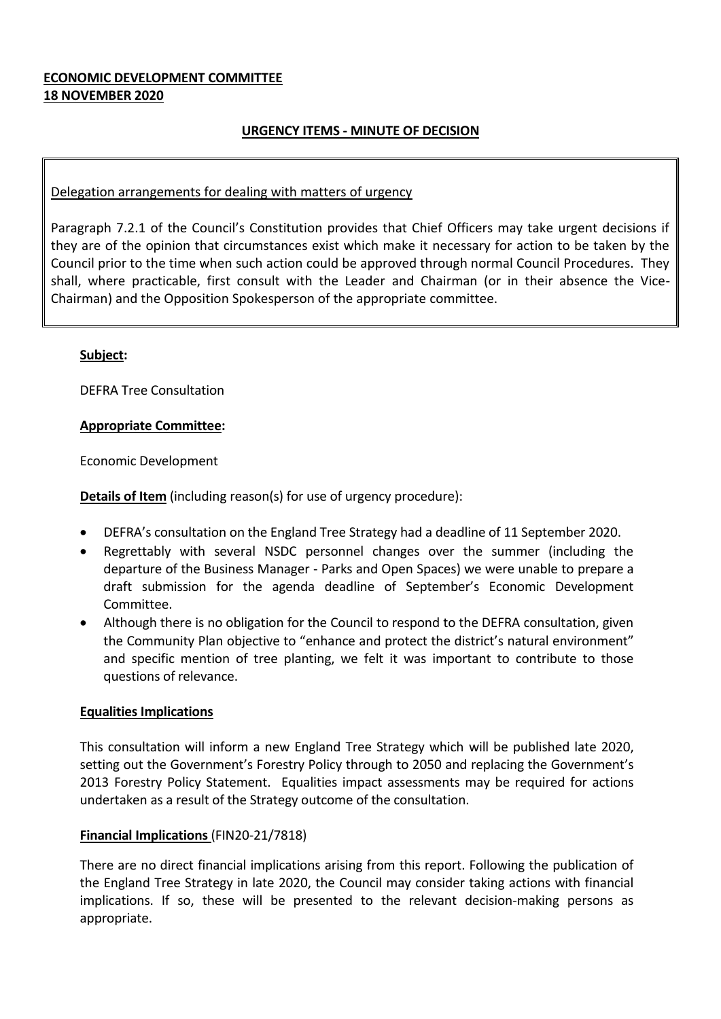#### **ECONOMIC DEVELOPMENT COMMITTEE 18 NOVEMBER 2020**

### **URGENCY ITEMS - MINUTE OF DECISION**

#### Delegation arrangements for dealing with matters of urgency

Paragraph 7.2.1 of the Council's Constitution provides that Chief Officers may take urgent decisions if they are of the opinion that circumstances exist which make it necessary for action to be taken by the Council prior to the time when such action could be approved through normal Council Procedures. They shall, where practicable, first consult with the Leader and Chairman (or in their absence the Vice-Chairman) and the Opposition Spokesperson of the appropriate committee.

#### **Subject:**

DEFRA Tree Consultation

#### **Appropriate Committee:**

Economic Development

**Details of Item** (including reason(s) for use of urgency procedure):

- DEFRA's consultation on the England Tree Strategy had a deadline of 11 September 2020.
- Regrettably with several NSDC personnel changes over the summer (including the departure of the Business Manager - Parks and Open Spaces) we were unable to prepare a draft submission for the agenda deadline of September's Economic Development Committee.
- Although there is no obligation for the Council to respond to the DEFRA consultation, given the Community Plan objective to "enhance and protect the district's natural environment" and specific mention of tree planting, we felt it was important to contribute to those questions of relevance.

#### **Equalities Implications**

This consultation will inform a new England Tree Strategy which will be published late 2020, setting out the Government's Forestry Policy through to 2050 and replacing the Government's 2013 Forestry Policy Statement. Equalities impact assessments may be required for actions undertaken as a result of the Strategy outcome of the consultation.

#### **Financial Implications** (FIN20-21/7818)

There are no direct financial implications arising from this report. Following the publication of the England Tree Strategy in late 2020, the Council may consider taking actions with financial implications. If so, these will be presented to the relevant decision-making persons as appropriate.